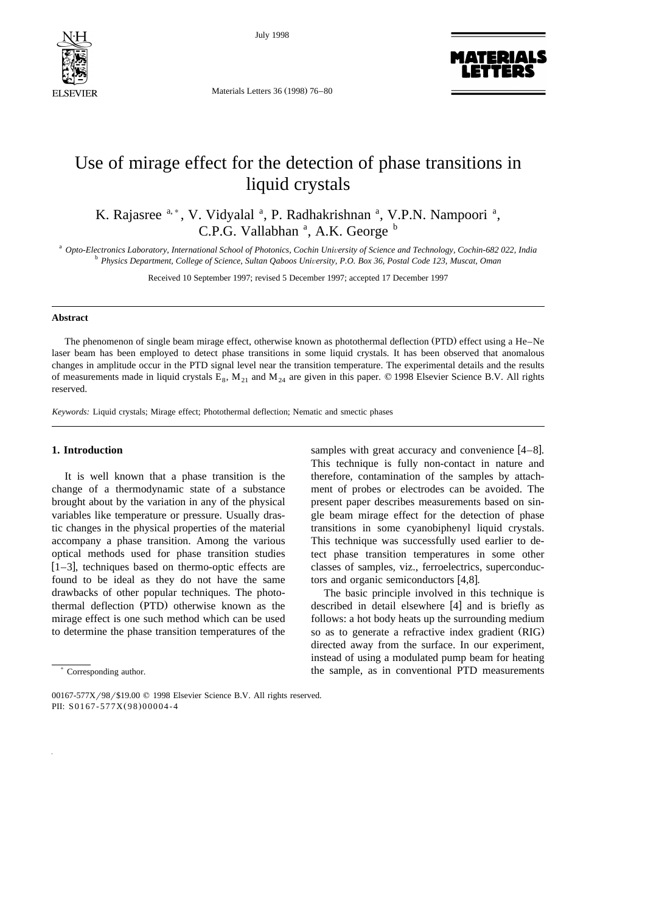

July 1998



# Use of mirage effect for the detection of phase transitions in liquid crystals

K. Rajasree <sup>a,\*</sup>, V. Vidyalal <sup>a</sup>, P. Radhakrishnan <sup>a</sup>, V.P.N. Nampoori <sup>a</sup>, C.P.G. Vallabhan<sup>a</sup>, A.K. George<sup>b</sup>

<sup>a</sup> Opto-Electronics Laboratory, International School of Photonics, Cochin University of Science and Technology, Cochin-682 022, India<br><sup>b</sup> Physics Department, College of Science, Sultan Qaboos University, P.O. Box 36, Post

Received 10 September 1997; revised 5 December 1997; accepted 17 December 1997

### **Abstract**

The phenomenon of single beam mirage effect, otherwise known as photothermal deflection (PTD) effect using a He–Ne laser beam has been employed to detect phase transitions in some liquid crystals. It has been observed that anomalous changes in amplitude occur in the PTD signal level near the transition temperature. The experimental details and the results of measurements made in liquid crystals  $E_8$ ,  $M_{21}$  and  $M_{24}$  are given in this paper.  $\odot$  1998 Elsevier Science B.V. All rights reserved.

*Keywords:* Liquid crystals; Mirage effect; Photothermal deflection; Nematic and smectic phases

## **1. Introduction**

It is well known that a phase transition is the change of a thermodynamic state of a substance brought about by the variation in any of the physical variables like temperature or pressure. Usually drastic changes in the physical properties of the material accompany a phase transition. Among the various optical methods used for phase transition studies  $\overline{[1-3]}$ , techniques based on thermo-optic effects are found to be ideal as they do not have the same drawbacks of other popular techniques. The photothermal deflection (PTD) otherwise known as the mirage effect is one such method which can be used to determine the phase transition temperatures of the

samples with great accuracy and convenience  $[4-8]$ . This technique is fully non-contact in nature and therefore, contamination of the samples by attachment of probes or electrodes can be avoided. The present paper describes measurements based on single beam mirage effect for the detection of phase transitions in some cyanobiphenyl liquid crystals. This technique was successfully used earlier to detect phase transition temperatures in some other classes of samples, viz., ferroelectrics, superconductors and organic semiconductors  $[4,8]$ .

The basic principle involved in this technique is described in detail elsewhere [4] and is briefly as follows: a hot body heats up the surrounding medium so as to generate a refractive index gradient (RIG) directed away from the surface. In our experiment, instead of using a modulated pump beam for heating the sample, as in conventional PTD measurements

<sup>)</sup> Corresponding author.

<sup>00167-577</sup>X/98/\$19.00 © 1998 Elsevier Science B.V. All rights reserved. PII: S0167-577X(98)00004-4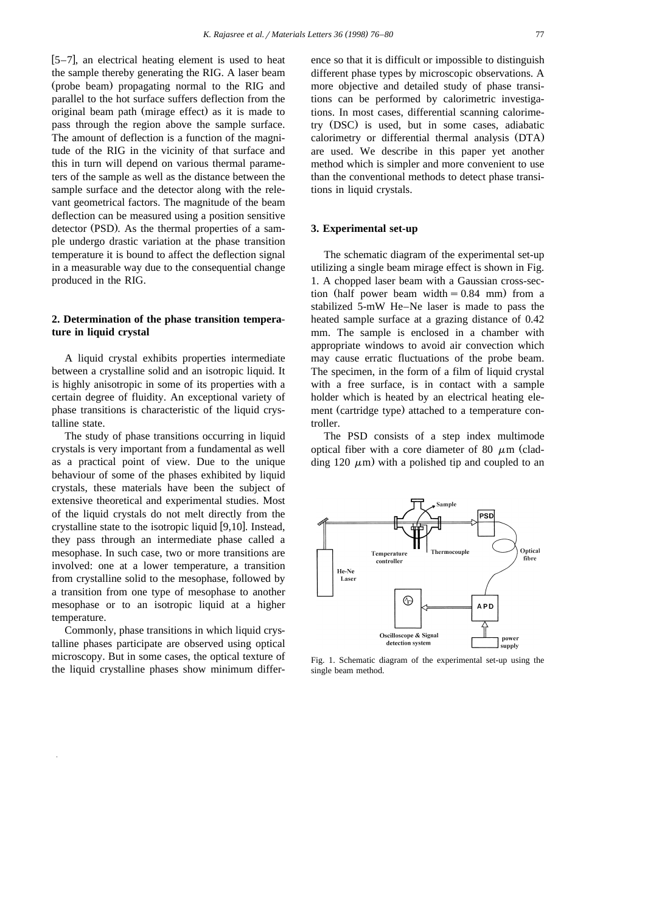$[5-7]$ , an electrical heating element is used to heat the sample thereby generating the RIG. A laser beam (probe beam) propagating normal to the RIG and parallel to the hot surface suffers deflection from the original beam path (mirage effect) as it is made to pass through the region above the sample surface. The amount of deflection is a function of the magnitude of the RIG in the vicinity of that surface and this in turn will depend on various thermal parameters of the sample as well as the distance between the sample surface and the detector along with the relevant geometrical factors. The magnitude of the beam deflection can be measured using a position sensitive detector (PSD). As the thermal properties of a sample undergo drastic variation at the phase transition temperature it is bound to affect the deflection signal in a measurable way due to the consequential change produced in the RIG.

## **2. Determination of the phase transition temperature in liquid crystal**

A liquid crystal exhibits properties intermediate between a crystalline solid and an isotropic liquid. It is highly anisotropic in some of its properties with a certain degree of fluidity. An exceptional variety of phase transitions is characteristic of the liquid crystalline state.

The study of phase transitions occurring in liquid crystals is very important from a fundamental as well as a practical point of view. Due to the unique behaviour of some of the phases exhibited by liquid crystals, these materials have been the subject of extensive theoretical and experimental studies. Most of the liquid crystals do not melt directly from the crystalline state to the isotropic liquid  $[9,10]$ . Instead, they pass through an intermediate phase called a mesophase. In such case, two or more transitions are involved: one at a lower temperature, a transition from crystalline solid to the mesophase, followed by a transition from one type of mesophase to another mesophase or to an isotropic liquid at a higher temperature.

Commonly, phase transitions in which liquid crystalline phases participate are observed using optical microscopy. But in some cases, the optical texture of the liquid crystalline phases show minimum differ-

ence so that it is difficult or impossible to distinguish different phase types by microscopic observations. A more objective and detailed study of phase transitions can be performed by calorimetric investigations. In most cases, differential scanning calorimetry (DSC) is used, but in some cases, adiabatic calorimetry or differential thermal analysis (DTA) are used. We describe in this paper yet another method which is simpler and more convenient to use than the conventional methods to detect phase transitions in liquid crystals.

## **3. Experimental set-up**

The schematic diagram of the experimental set-up utilizing a single beam mirage effect is shown in Fig. 1. A chopped laser beam with a Gaussian cross-section (half power beam width  $= 0.84$  mm) from a stabilized 5-mW He–Ne laser is made to pass the heated sample surface at a grazing distance of 0.42 mm. The sample is enclosed in a chamber with appropriate windows to avoid air convection which may cause erratic fluctuations of the probe beam. The specimen, in the form of a film of liquid crystal with a free surface, is in contact with a sample holder which is heated by an electrical heating element (cartridge type) attached to a temperature controller.

The PSD consists of a step index multimode optical fiber with a core diameter of 80  $\mu$ m (cladding 120  $\mu$ m) with a polished tip and coupled to an



Fig. 1. Schematic diagram of the experimental set-up using the single beam method.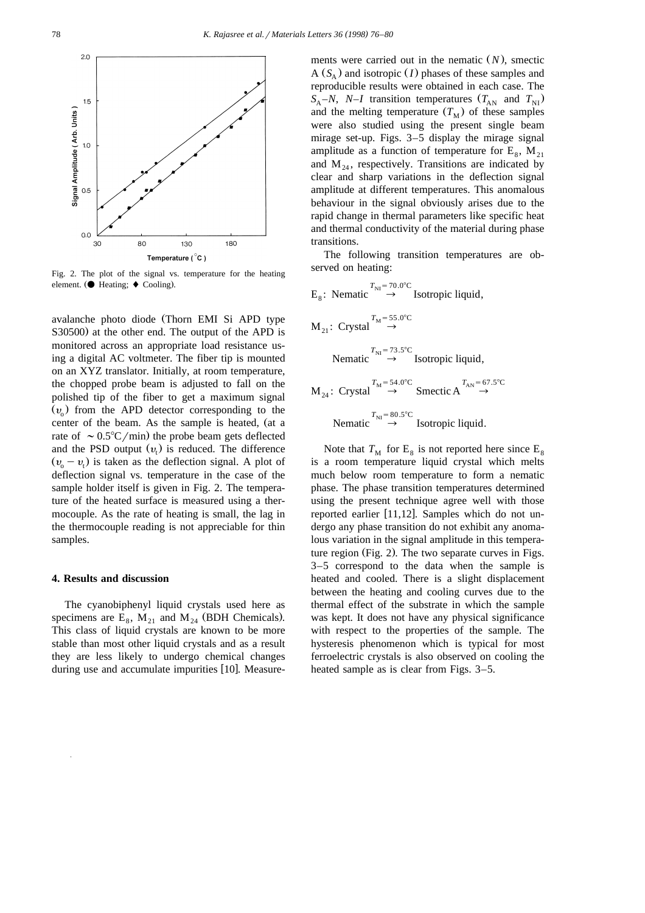

Fig. 2. The plot of the signal vs. temperature for the heating element. ( $\bullet$  Heating;  $\bullet$  Cooling).

avalanche photo diode (Thorn EMI Si APD type S30500) at the other end. The output of the APD is monitored across an appropriate load resistance using a digital AC voltmeter. The fiber tip is mounted on an XYZ translator. Initially, at room temperature, the chopped probe beam is adjusted to fall on the polished tip of the fiber to get a maximum signal  $(v_0)$  from the APD detector corresponding to the center of the beam. As the sample is heated, (at a rate of  $\sim 0.5^{\circ}C/\text{min}$  the probe beam gets deflected and the PSD output  $(v<sub>i</sub>)$  is reduced. The difference  $(v_0 - v_1)$  is taken as the deflection signal. A plot of deflection signal vs. temperature in the case of the sample holder itself is given in Fig. 2. The temperature of the heated surface is measured using a thermocouple. As the rate of heating is small, the lag in the thermocouple reading is not appreciable for thin samples.

## **4. Results and discussion**

The cyanobiphenyl liquid crystals used here as specimens are  $E_8$ ,  $M_{21}$  and  $M_{24}$  (BDH Chemicals). This class of liquid crystals are known to be more stable than most other liquid crystals and as a result they are less likely to undergo chemical changes during use and accumulate impurities [10]. Measure-

ments were carried out in the nematic  $(N)$ , smectic  $A(S_A)$  and isotropic *(I)* phases of these samples and reproducible results were obtained in each case. The  $S_A - N$ , *N*–*I* transition temperatures  $(T_{AN}$  and  $T_{NI}$ ) and the melting temperature  $(T_M)$  of these samples were also studied using the present single beam mirage set-up. Figs. 3–5 display the mirage signal amplitude as a function of temperature for  $E_8$ ,  $M_{21}$ and  $M_{24}$ , respectively. Transitions are indicated by clear and sharp variations in the deflection signal amplitude at different temperatures. This anomalous behaviour in the signal obviously arises due to the rapid change in thermal parameters like specific heat and thermal conductivity of the material during phase transitions.

The following transition temperatures are observed on heating:

E<sub>8</sub>: Nematic 
$$
\rightarrow
$$
 T<sub>NI</sub> = 70.0°C Isotropic liquid,  
\nM<sub>21</sub>: Crystal  $\rightarrow$  T<sub>M</sub> = 55.0°C  
\nNematic  $\rightarrow$  Isotropic liquid,  
\nM<sub>24</sub>: Crystal  $\rightarrow$  Isotropic liquid,  
\nM<sub>24</sub>: Crystal  $\rightarrow$  S<sub>M</sub> = 54.0°C  
\nNematic  $\rightarrow$  S<sub>NI</sub> = 80.5°C  
\nNematic  $\rightarrow$  Isotropic liquid.

Note that  $T_M$  for  $E_8$  is not reported here since  $E_8$ is a room temperature liquid crystal which melts much below room temperature to form a nematic phase. The phase transition temperatures determined using the present technique agree well with those reported earlier  $[11,12]$ . Samples which do not undergo any phase transition do not exhibit any anomalous variation in the signal amplitude in this temperature region (Fig. 2). The two separate curves in Figs. 3–5 correspond to the data when the sample is heated and cooled. There is a slight displacement between the heating and cooling curves due to the thermal effect of the substrate in which the sample was kept. It does not have any physical significance with respect to the properties of the sample. The hysteresis phenomenon which is typical for most ferroelectric crystals is also observed on cooling the heated sample as is clear from Figs. 3–5.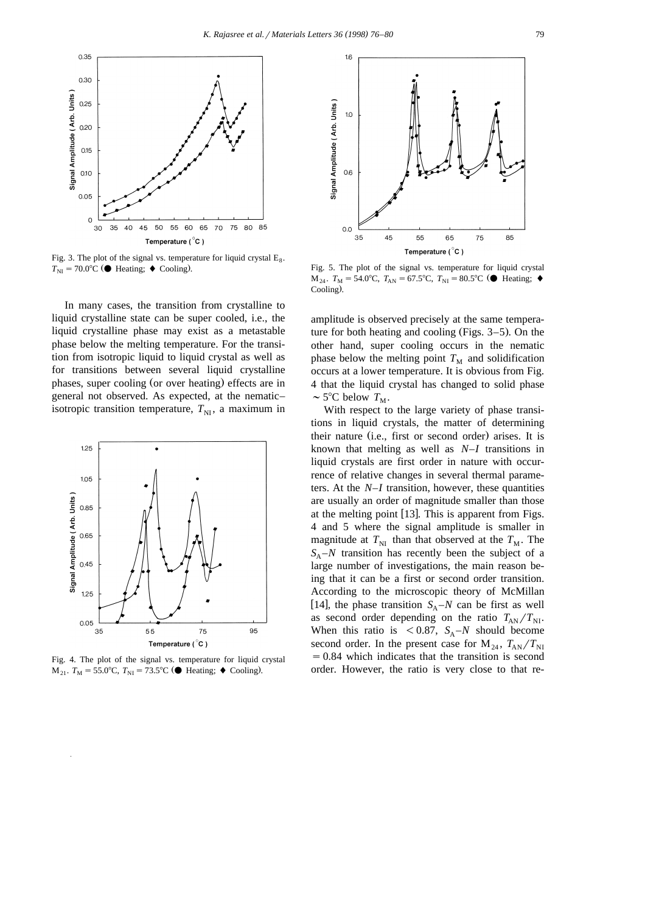

Fig. 3. The plot of the signal vs. temperature for liquid crystal  $E_8$ .  $T_{\text{NI}} = 70.0^{\circ}\text{C}$  ( $\bullet$  Heating;  $\bullet$  Cooling).

In many cases, the transition from crystalline to liquid crystalline state can be super cooled, i.e., the liquid crystalline phase may exist as a metastable phase below the melting temperature. For the transition from isotropic liquid to liquid crystal as well as for transitions between several liquid crystalline phases, super cooling (or over heating) effects are in general not observed. As expected, at the nematic– isotropic transition temperature,  $T_{\text{NI}}$ , a maximum in



Fig. 4. The plot of the signal vs. temperature for liquid crystal  $M_{21}$ . *T*<sub>M</sub> = 55.0°C, *T*<sub>NI</sub> = 73.5°C (● Heating; ◆ Cooling).



Fig. 5. The plot of the signal vs. temperature for liquid crystal  $M_{24}$ .  $T_M = 54.0^{\circ}C$ ,  $T_{AN} = 67.5^{\circ}C$ ,  $T_{NI} = 80.5^{\circ}C$  ( $\bullet$  Heating;  $\bullet$ Cooling).

amplitude is observed precisely at the same temperature for both heating and cooling (Figs.  $3-5$ ). On the other hand, super cooling occurs in the nematic phase below the melting point  $T<sub>M</sub>$  and solidification occurs at a lower temperature. It is obvious from Fig. 4 that the liquid crystal has changed to solid phase  $\sim$  5°C below  $T_M$ .

With respect to the large variety of phase transitions in liquid crystals, the matter of determining their nature (i.e., first or second order) arises. It is known that melting as well as *N*–*I* transitions in liquid crystals are first order in nature with occurrence of relative changes in several thermal parameters. At the *N*–*I* transition, however, these quantities are usually an order of magnitude smaller than those at the melting point  $[13]$ . This is apparent from Figs. 4 and 5 where the signal amplitude is smaller in magnitude at  $T_{\text{NI}}$  than that observed at the  $T_{\text{M}}$ . The  $S_A - N$  transition has recently been the subject of a large number of investigations, the main reason being that it can be a first or second order transition. According to the microscopic theory of McMillan [14], the phase transition  $S_A - N$  can be first as well as second order depending on the ratio  $T_{AN}/T_{NI}$ . When this ratio is  $\langle 0.87, S_A-N \rangle$  should become second order. In the present case for  $M_{24}$ ,  $T_{AN}/T_{NI}$  $=0.84$  which indicates that the transition is second order. However, the ratio is very close to that re